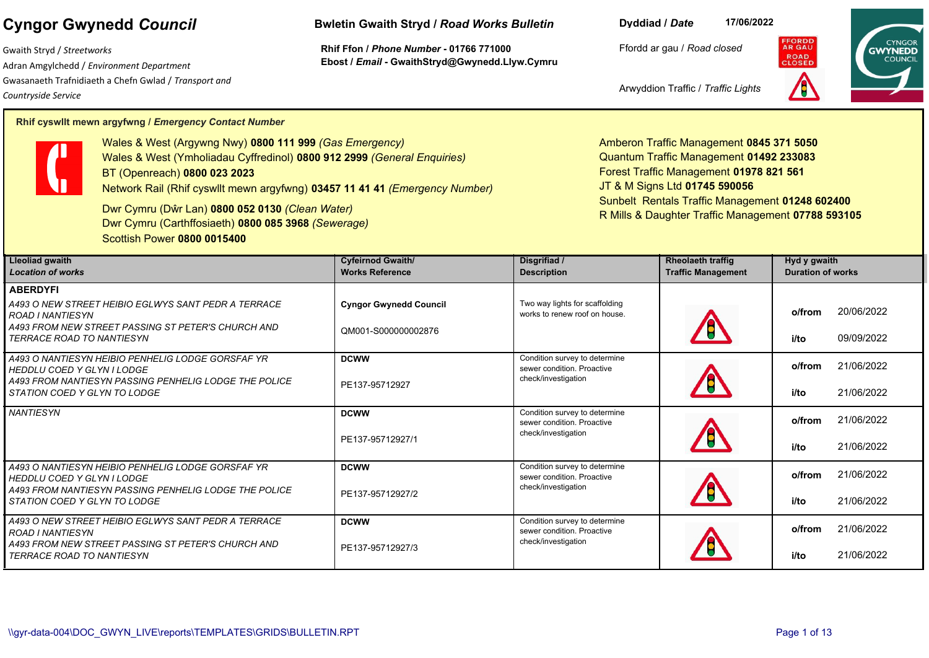Gwaith Stryd / *Streetworks* Adran Amgylchedd / *Environment Department*  Gwasanaeth Trafnidiaeth a Chefn Gwlad / *Transport and Countryside Service*

## **Cyngor Gwynedd** *Council* **Bwletin Gwaith Stryd /** *Road Works Bulletin*

**Rhif Ffon /** *Phone Number* **- 01766 771000 Ebost /** *Email* **- GwaithStryd@Gwynedd.Llyw.Cymru** **Dyddiad /** *Date* **17/06/2022**

Ffordd ar gau / *Road closed*



Arwyddion Traffic / *Traffic Lights*

## **Rhif cyswllt mewn argyfwng /** *Emergency Contact Number*



Wales & West (Argywng Nwy) **0800 111 999** *(Gas Emergency)* Wales & West (Ymholiadau Cyffredinol) **0800 912 2999** *(General Enquiries)* BT (Openreach) **0800 023 2023** Network Rail (Rhif cyswllt mewn argyfwng) **03457 11 41 41** *(Emergency Number)*

Dwr Cymru (Dŵr Lan) **0800 052 0130** *(Clean Water)* Dwr Cymru (Carthffosiaeth) **0800 085 3968** *(Sewerage)* Scottish Power **0800 0015400**

Amberon Traffic Management **0845 371 5050**  Quantum Traffic Management **01492 233083**  Forest Traffic Management **01978 821 561**  JT & M Signs Ltd **01745 590056** Sunbelt Rentals Traffic Management **01248 602400**  R Mills & Daughter Traffic Management **07788 593105**

| <b>Lleoliad gwaith</b><br><b>Location of works</b>                                     | <b>Cyfeirnod Gwaith/</b><br><b>Works Reference</b> | Disgrifiad /<br><b>Description</b>                                                 | <b>Rheolaeth traffig</b><br><b>Traffic Management</b> | Hyd y gwaith<br><b>Duration of works</b> |
|----------------------------------------------------------------------------------------|----------------------------------------------------|------------------------------------------------------------------------------------|-------------------------------------------------------|------------------------------------------|
|                                                                                        |                                                    |                                                                                    |                                                       |                                          |
| <b>ABERDYFI</b>                                                                        |                                                    |                                                                                    |                                                       |                                          |
| A493 O NEW STREET HEIBIO EGLWYS SANT PEDR A TERRACE<br><b>ROAD I NANTIESYN</b>         | <b>Cyngor Gwynedd Council</b>                      | Two way lights for scaffolding<br>works to renew roof on house.                    |                                                       | 20/06/2022<br>o/from                     |
| A493 FROM NEW STREET PASSING ST PETER'S CHURCH AND<br><b>TERRACE ROAD TO NANTIESYN</b> | QM001-S000000002876                                |                                                                                    |                                                       | 09/09/2022<br>i/to                       |
| A493 O NANTIESYN HEIBIO PENHELIG LODGE GORSFAF YR<br><b>HEDDLU COED Y GLYN I LODGE</b> | <b>DCWW</b>                                        | Condition survey to determine<br>sewer condition. Proactive<br>check/investigation |                                                       | 21/06/2022<br>o/from                     |
| A493 FROM NANTIESYN PASSING PENHELIG LODGE THE POLICE<br>STATION COED Y GLYN TO LODGE  | PE137-95712927                                     |                                                                                    |                                                       | 21/06/2022<br>i/to                       |
| <b>NANTIESYN</b>                                                                       | <b>DCWW</b>                                        | Condition survey to determine<br>sewer condition. Proactive<br>check/investigation |                                                       | 21/06/2022<br>o/from                     |
|                                                                                        | PE137-95712927/1                                   |                                                                                    |                                                       | 21/06/2022<br>i/to                       |
| A493 O NANTIESYN HEIBIO PENHELIG LODGE GORSFAF YR<br><b>HEDDLU COED Y GLYN I LODGE</b> | <b>DCWW</b>                                        | Condition survey to determine<br>sewer condition. Proactive                        |                                                       | 21/06/2022<br>o/from                     |
| A493 FROM NANTIESYN PASSING PENHELIG LODGE THE POLICE<br>STATION COED Y GLYN TO LODGE  | check/investigation<br>PE137-95712927/2            |                                                                                    |                                                       | 21/06/2022<br>i/to                       |
| A493 O NEW STREET HEIBIO EGLWYS SANT PEDR A TERRACE<br><b>ROAD I NANTIESYN</b>         | <b>DCWW</b>                                        | Condition survey to determine<br>sewer condition. Proactive<br>check/investigation |                                                       | 21/06/2022<br>o/from                     |
| A493 FROM NEW STREET PASSING ST PETER'S CHURCH AND<br><b>TERRACE ROAD TO NANTIESYN</b> | PE137-95712927/3                                   |                                                                                    |                                                       | i/to<br>21/06/2022                       |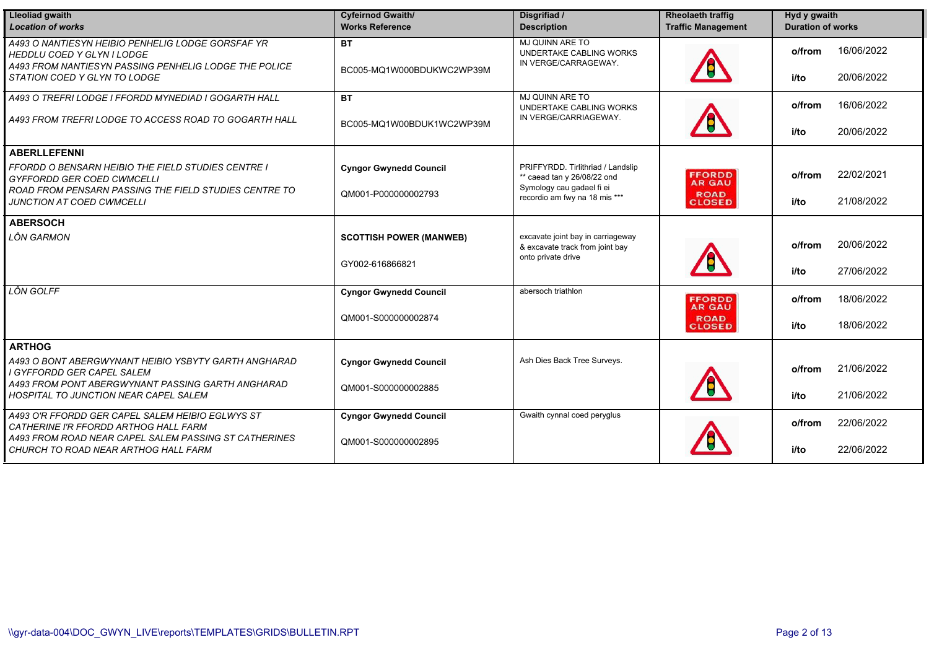| <b>Lleoliad gwaith</b><br><b>Location of works</b>                                                                                       | <b>Cyfeirnod Gwaith/</b><br><b>Works Reference</b> | Disgrifiad /<br><b>Description</b>                                                            | <b>Rheolaeth traffig</b><br><b>Traffic Management</b> | Hyd y gwaith<br><b>Duration of works</b> |            |
|------------------------------------------------------------------------------------------------------------------------------------------|----------------------------------------------------|-----------------------------------------------------------------------------------------------|-------------------------------------------------------|------------------------------------------|------------|
| A493 O NANTIESYN HEIBIO PENHELIG LODGE GORSFAF YR<br>HEDDLU COED Y GLYN I LODGE<br>A493 FROM NANTIESYN PASSING PENHELIG LODGE THE POLICE | <b>BT</b>                                          | MJ QUINN ARE TO<br>UNDERTAKE CABLING WORKS<br>IN VERGE/CARRAGEWAY.                            |                                                       | o/from                                   | 16/06/2022 |
| STATION COED Y GLYN TO LODGE                                                                                                             | BC005-MQ1W000BDUKWC2WP39M                          |                                                                                               |                                                       | i/to                                     | 20/06/2022 |
| A493 O TREFRI LODGE I FFORDD MYNEDIAD I GOGARTH HALL                                                                                     | <b>BT</b>                                          | MJ QUINN ARE TO<br>UNDERTAKE CABLING WORKS                                                    |                                                       | o/from                                   | 16/06/2022 |
| A493 FROM TREFRI LODGE TO ACCESS ROAD TO GOGARTH HALL                                                                                    | BC005-MQ1W00BDUK1WC2WP39M                          | IN VERGE/CARRIAGEWAY.                                                                         |                                                       | i/to                                     | 20/06/2022 |
| <b>ABERLLEFENNI</b>                                                                                                                      |                                                    |                                                                                               |                                                       |                                          |            |
| <b>FFORDD O BENSARN HEIBIO THE FIELD STUDIES CENTRE I</b><br><b>GYFFORDD GER COED CWMCELLI</b>                                           | <b>Cyngor Gwynedd Council</b>                      | PRIFFYRDD. Tirlithriad / Landslip<br>** caead tan y 26/08/22 ond<br>Symology cau gadael fi ei | <b>FFORDD</b><br><b>AR GAU</b>                        | o/from                                   | 22/02/2021 |
| ROAD FROM PENSARN PASSING THE FIELD STUDIES CENTRE TO<br>JUNCTION AT COED CWMCELLI                                                       | QM001-P000000002793                                | recordio am fwy na 18 mis ***                                                                 | <b>ROAD</b><br><b>CLOSED</b>                          | i/to                                     | 21/08/2022 |
| <b>ABERSOCH</b>                                                                                                                          |                                                    |                                                                                               |                                                       |                                          |            |
| LÔN GARMON                                                                                                                               | <b>SCOTTISH POWER (MANWEB)</b>                     | excavate joint bay in carriageway<br>& excavate track from joint bay<br>onto private drive    |                                                       | o/from                                   | 20/06/2022 |
|                                                                                                                                          | GY002-616866821                                    |                                                                                               |                                                       | i/to                                     | 27/06/2022 |
| LÔN GOLFF                                                                                                                                | <b>Cyngor Gwynedd Council</b>                      | abersoch triathlon                                                                            | <b>FFORDD</b><br><b>AR GAU</b>                        | o/from                                   | 18/06/2022 |
|                                                                                                                                          | QM001-S000000002874                                |                                                                                               | <b>ROAD</b><br><b>CLOSED</b>                          | i/to                                     | 18/06/2022 |
| <b>ARTHOG</b>                                                                                                                            |                                                    |                                                                                               |                                                       |                                          |            |
| A493 O BONT ABERGWYNANT HEIBIO YSBYTY GARTH ANGHARAD<br>I GYFFORDD GER CAPEL SALEM                                                       | <b>Cyngor Gwynedd Council</b>                      | Ash Dies Back Tree Surveys.                                                                   |                                                       | o/from                                   | 21/06/2022 |
| A493 FROM PONT ABERGWYNANT PASSING GARTH ANGHARAD<br>HOSPITAL TO JUNCTION NEAR CAPEL SALEM                                               | QM001-S000000002885                                |                                                                                               |                                                       | i/to                                     | 21/06/2022 |
| A493 O'R FFORDD GER CAPEL SALEM HEIBIO EGLWYS ST<br>CATHERINE I'R FFORDD ARTHOG HALL FARM                                                | <b>Cyngor Gwynedd Council</b>                      | Gwaith cynnal coed peryglus                                                                   |                                                       | o/from                                   | 22/06/2022 |
| A493 FROM ROAD NEAR CAPEL SALEM PASSING ST CATHERINES<br>CHURCH TO ROAD NEAR ARTHOG HALL FARM                                            | QM001-S000000002895                                |                                                                                               |                                                       | i/to                                     | 22/06/2022 |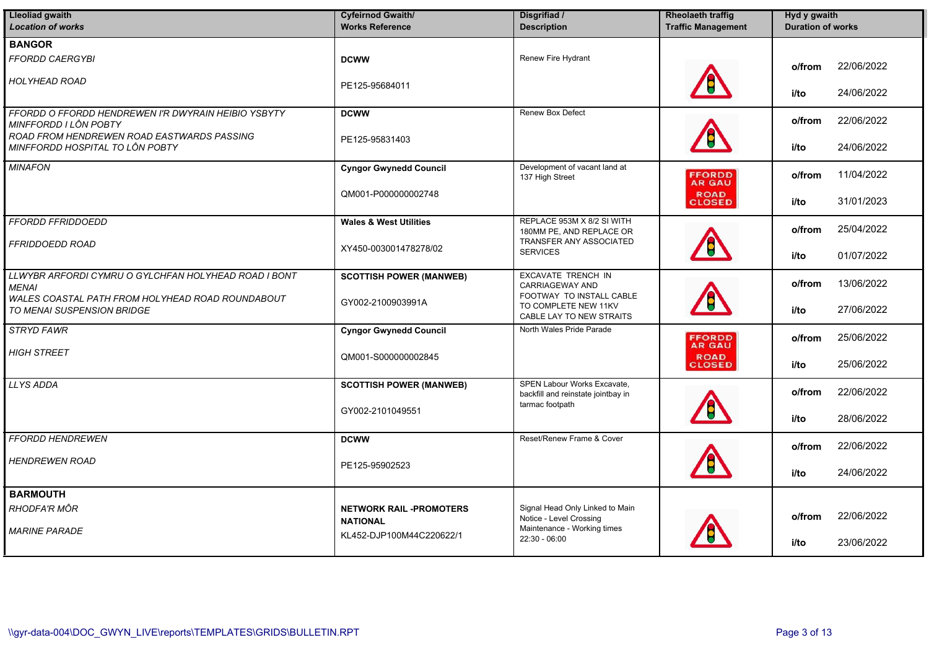| <b>Lleoliad gwaith</b><br><b>Location of works</b>                             | <b>Cyfeirnod Gwaith/</b><br><b>Works Reference</b> | Disgrifiad /<br><b>Description</b>                                                       | <b>Rheolaeth traffig</b><br><b>Traffic Management</b> | Hyd y gwaith<br><b>Duration of works</b> |
|--------------------------------------------------------------------------------|----------------------------------------------------|------------------------------------------------------------------------------------------|-------------------------------------------------------|------------------------------------------|
| <b>BANGOR</b>                                                                  |                                                    |                                                                                          |                                                       |                                          |
| FFORDD CAERGYBI                                                                | <b>DCWW</b>                                        | Renew Fire Hydrant                                                                       |                                                       | 22/06/2022<br>o/from                     |
| <b>HOLYHEAD ROAD</b>                                                           | PE125-95684011                                     |                                                                                          |                                                       | 24/06/2022<br>i/to                       |
| FFORDD O FFORDD HENDREWEN I'R DWYRAIN HEIBIO YSBYTY<br>MINFFORDD I LÔN POBTY   | <b>DCWW</b>                                        | <b>Renew Box Defect</b>                                                                  |                                                       | 22/06/2022<br>o/from                     |
| ROAD FROM HENDREWEN ROAD EASTWARDS PASSING<br>MINFFORDD HOSPITAL TO LÔN POBTY  | PE125-95831403                                     |                                                                                          |                                                       | i/to<br>24/06/2022                       |
| <b>MINAFON</b>                                                                 | <b>Cyngor Gwynedd Council</b>                      | Development of vacant land at<br>137 High Street                                         | <b>FFORDD</b><br>AR GAU                               | 11/04/2022<br>o/from                     |
|                                                                                | QM001-P000000002748                                |                                                                                          | <b>ROAD</b><br>CLOSED                                 | 31/01/2023<br>i/to                       |
| <b>FFORDD FFRIDDOEDD</b>                                                       | <b>Wales &amp; West Utilities</b>                  | REPLACE 953M X 8/2 SI WITH<br>180MM PE, AND REPLACE OR<br><b>TRANSFER ANY ASSOCIATED</b> |                                                       | 25/04/2022<br>o/from                     |
| FFRIDDOEDD ROAD                                                                | XY450-003001478278/02                              | <b>SERVICES</b>                                                                          |                                                       | 01/07/2022<br>i/to                       |
| LLWYBR ARFORDI CYMRU O GYLCHFAN HOLYHEAD ROAD I BONT<br><b>MENAI</b>           | <b>SCOTTISH POWER (MANWEB)</b>                     | EXCAVATE TRENCH IN<br><b>CARRIAGEWAY AND</b><br>FOOTWAY TO INSTALL CABLE                 |                                                       | 13/06/2022<br>o/from                     |
| WALES COASTAL PATH FROM HOLYHEAD ROAD ROUNDABOUT<br>TO MENAI SUSPENSION BRIDGE | GY002-2100903991A                                  | TO COMPLETE NEW 11KV<br>CABLE LAY TO NEW STRAITS                                         |                                                       | 27/06/2022<br>i/to                       |
| <b>STRYD FAWR</b>                                                              | <b>Cyngor Gwynedd Council</b>                      | North Wales Pride Parade                                                                 | <b>FFORDD</b><br><b>AR GAU</b>                        | 25/06/2022<br>o/from                     |
| <b>HIGH STREET</b>                                                             | QM001-S000000002845                                |                                                                                          | <b>ROAD</b><br><b>CLOSED</b>                          | 25/06/2022<br>i/to                       |
| <b>LLYS ADDA</b>                                                               | <b>SCOTTISH POWER (MANWEB)</b>                     | SPEN Labour Works Excavate,<br>backfill and reinstate jointbay in                        |                                                       | 22/06/2022<br>o/from                     |
|                                                                                | GY002-2101049551                                   | tarmac footpath                                                                          |                                                       | 28/06/2022<br>i/to                       |
| <b>FFORDD HENDREWEN</b>                                                        | <b>DCWW</b>                                        | Reset/Renew Frame & Cover                                                                |                                                       | 22/06/2022<br>o/from                     |
| <b>HENDREWEN ROAD</b>                                                          | PE125-95902523                                     |                                                                                          |                                                       | 24/06/2022<br>i/to                       |
| <b>BARMOUTH</b>                                                                |                                                    |                                                                                          |                                                       |                                          |
| RHODFA'R MÔR                                                                   | <b>NETWORK RAIL -PROMOTERS</b><br><b>NATIONAL</b>  | Signal Head Only Linked to Main<br>Notice - Level Crossing                               |                                                       | 22/06/2022<br>o/from                     |
| <b>MARINE PARADE</b>                                                           | KL452-DJP100M44C220622/1                           | Maintenance - Working times<br>$22:30 - 06:00$                                           |                                                       | 23/06/2022<br>i/to                       |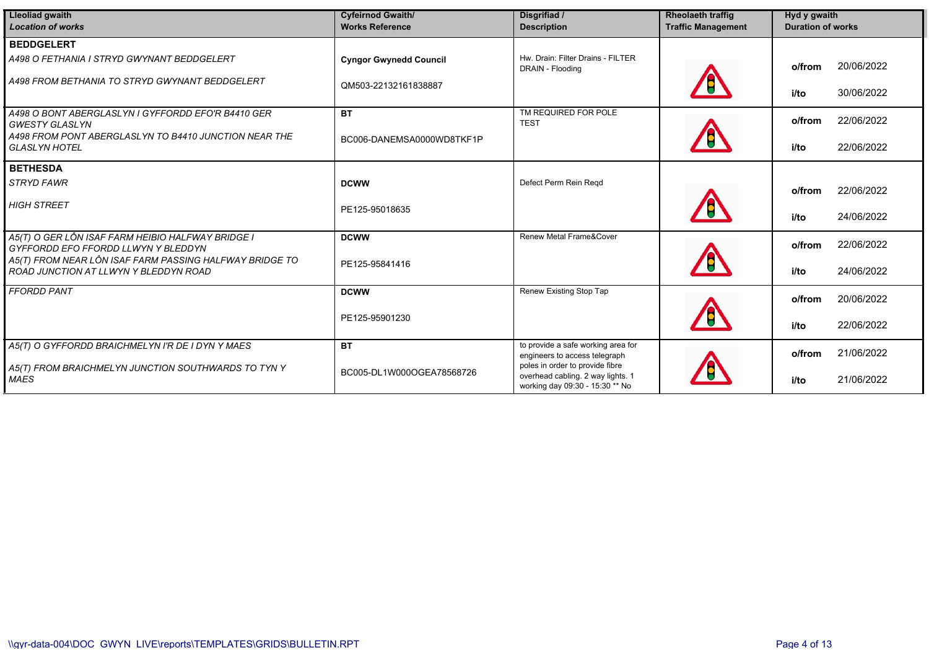| <b>Lleoliad gwaith</b><br><b>Location of works</b>                                               | <b>Cyfeirnod Gwaith/</b><br><b>Works Reference</b> | Disgrifiad /<br><b>Description</b>                                                                      | <b>Rheolaeth traffig</b><br><b>Traffic Management</b> | Hyd y gwaith<br><b>Duration of works</b> |
|--------------------------------------------------------------------------------------------------|----------------------------------------------------|---------------------------------------------------------------------------------------------------------|-------------------------------------------------------|------------------------------------------|
| <b>BEDDGELERT</b>                                                                                |                                                    |                                                                                                         |                                                       |                                          |
| A498 O FETHANIA I STRYD GWYNANT BEDDGELERT                                                       | <b>Cyngor Gwynedd Council</b>                      | Hw. Drain: Filter Drains - FILTER<br>DRAIN - Flooding                                                   |                                                       | 20/06/2022<br>o/from                     |
| A498 FROM BETHANIA TO STRYD GWYNANT BEDDGELERT                                                   | QM503-22132161838887                               |                                                                                                         |                                                       | 30/06/2022<br>i/to                       |
| A498 O BONT ABERGLASLYN I GYFFORDD EFO'R B4410 GER<br><b>GWESTY GLASLYN</b>                      | <b>BT</b>                                          | TM REQUIRED FOR POLE<br><b>TEST</b>                                                                     |                                                       | 22/06/2022<br>o/from                     |
| A498 FROM PONT ABERGLASLYN TO B4410 JUNCTION NEAR THE<br><b>GLASLYN HOTEL</b>                    | BC006-DANEMSA0000WD8TKF1P                          |                                                                                                         |                                                       | 22/06/2022<br>i/to                       |
| <b>BETHESDA</b>                                                                                  |                                                    |                                                                                                         |                                                       |                                          |
| <b>STRYD FAWR</b>                                                                                | <b>DCWW</b>                                        | Defect Perm Rein Regd                                                                                   |                                                       | 22/06/2022<br>o/from                     |
| <b>HIGH STREET</b>                                                                               | PE125-95018635                                     |                                                                                                         |                                                       | 24/06/2022<br>i/to                       |
| A5(T) O GER LÔN ISAF FARM HEIBIO HALFWAY BRIDGE I<br>GYFFORDD EFO FFORDD LLWYN Y BLEDDYN         | <b>DCWW</b>                                        | Renew Metal Frame&Cover                                                                                 |                                                       | 22/06/2022<br>o/from                     |
| A5(T) FROM NEAR LÔN ISAF FARM PASSING HALFWAY BRIDGE TO<br>ROAD JUNCTION AT LLWYN Y BLEDDYN ROAD | PE125-95841416                                     |                                                                                                         |                                                       | 24/06/2022<br>i/to                       |
| <b>FFORDD PANT</b>                                                                               | <b>DCWW</b>                                        | Renew Existing Stop Tap                                                                                 |                                                       | 20/06/2022<br>o/from                     |
|                                                                                                  | PE125-95901230                                     |                                                                                                         |                                                       | 22/06/2022<br>i/to                       |
| A5(T) O GYFFORDD BRAICHMELYN I'R DE I DYN Y MAES                                                 | <b>BT</b>                                          | to provide a safe working area for<br>engineers to access telegraph                                     |                                                       | 21/06/2022<br>o/from                     |
| A5(T) FROM BRAICHMELYN JUNCTION SOUTHWARDS TO TYN Y<br><b>MAES</b>                               | BC005-DL1W000OGEA78568726                          | poles in order to provide fibre<br>overhead cabling. 2 way lights. 1<br>working day 09:30 - 15:30 ** No |                                                       | 21/06/2022<br>i/to                       |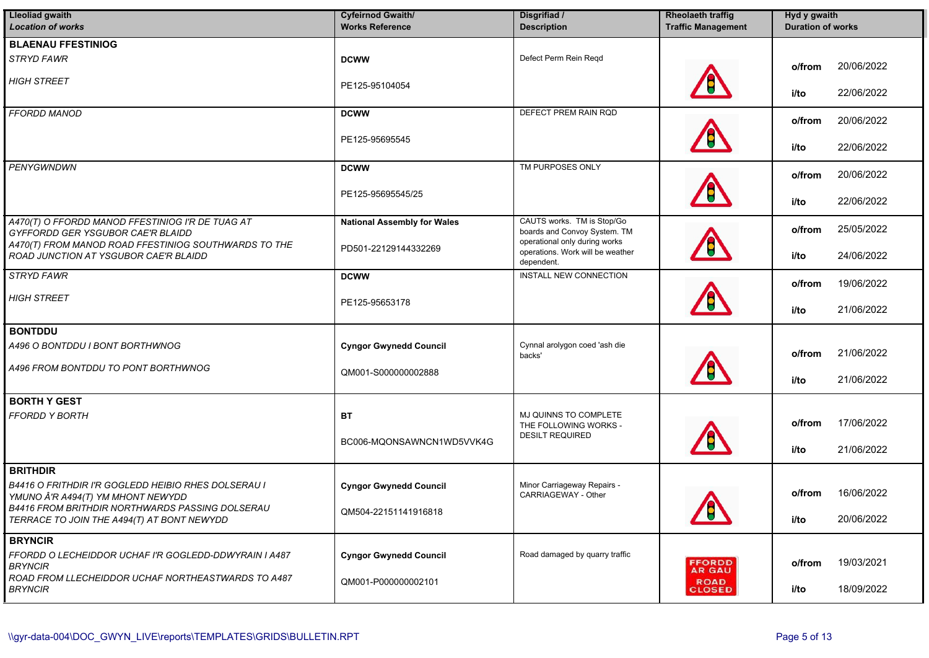| Lleoliad gwaith                                                                               | <b>Cyfeirnod Gwaith/</b>           | Disgrifiad /                                                                    | <b>Rheolaeth traffig</b>     | Hyd y gwaith             |
|-----------------------------------------------------------------------------------------------|------------------------------------|---------------------------------------------------------------------------------|------------------------------|--------------------------|
| <b>Location of works</b>                                                                      | <b>Works Reference</b>             | <b>Description</b>                                                              | <b>Traffic Management</b>    | <b>Duration of works</b> |
| <b>BLAENAU FFESTINIOG</b>                                                                     |                                    |                                                                                 |                              |                          |
| <b>STRYD FAWR</b>                                                                             | <b>DCWW</b>                        | Defect Perm Rein Regd                                                           |                              | 20/06/2022<br>o/from     |
| <b>HIGH STREET</b>                                                                            | PE125-95104054                     |                                                                                 |                              | 22/06/2022<br>i/to       |
| <b>FFORDD MANOD</b>                                                                           | <b>DCWW</b>                        | DEFECT PREM RAIN RQD                                                            |                              | 20/06/2022<br>o/from     |
|                                                                                               | PE125-95695545                     |                                                                                 |                              | 22/06/2022<br>i/to       |
| <b>PENYGWNDWN</b>                                                                             | <b>DCWW</b>                        | TM PURPOSES ONLY                                                                |                              | 20/06/2022<br>o/from     |
|                                                                                               | PE125-95695545/25                  |                                                                                 |                              | 22/06/2022<br>i/to       |
| A470(T) O FFORDD MANOD FFESTINIOG I'R DE TUAG AT<br>GYFFORDD GER YSGUBOR CAE'R BLAIDD         | <b>National Assembly for Wales</b> | CAUTS works. TM is Stop/Go<br>boards and Convoy System. TM                      |                              | 25/05/2022<br>o/from     |
| A470(T) FROM MANOD ROAD FFESTINIOG SOUTHWARDS TO THE<br>ROAD JUNCTION AT YSGUBOR CAE'R BLAIDD | PD501-22129144332269               | operational only during works<br>operations. Work will be weather<br>dependent. |                              | 24/06/2022<br>i/to       |
| <b>STRYD FAWR</b>                                                                             | <b>DCWW</b>                        | <b>INSTALL NEW CONNECTION</b>                                                   |                              | 19/06/2022<br>o/from     |
| <b>HIGH STREET</b>                                                                            | PE125-95653178                     |                                                                                 |                              | 21/06/2022<br>i/to       |
| <b>BONTDDU</b>                                                                                |                                    |                                                                                 |                              |                          |
| A496 O BONTDDU I BONT BORTHWNOG                                                               | <b>Cyngor Gwynedd Council</b>      | Cynnal arolygon coed 'ash die<br>backs'                                         |                              | 21/06/2022<br>o/from     |
| A496 FROM BONTDDU TO PONT BORTHWNOG                                                           | QM001-S000000002888                |                                                                                 |                              | 21/06/2022<br>i/to       |
| <b>BORTH Y GEST</b>                                                                           |                                    |                                                                                 |                              |                          |
| <b>FFORDD Y BORTH</b>                                                                         | <b>BT</b>                          | MJ QUINNS TO COMPLETE<br>THE FOLLOWING WORKS -                                  |                              | 17/06/2022<br>o/from     |
|                                                                                               | BC006-MQONSAWNCN1WD5VVK4G          | <b>DESILT REQUIRED</b>                                                          |                              | 21/06/2022<br>i/to       |
| <b>BRITHDIR</b>                                                                               |                                    |                                                                                 |                              |                          |
| B4416 O FRITHDIR I'R GOGLEDD HEIBIO RHES DOLSERAU I<br>YMUNO Â'R A494(T) YM MHONT NEWYDD      | <b>Cyngor Gwynedd Council</b>      | Minor Carriageway Repairs -<br>CARRIAGEWAY - Other                              |                              | 16/06/2022<br>o/from     |
| B4416 FROM BRITHDIR NORTHWARDS PASSING DOLSERAU<br>TERRACE TO JOIN THE A494(T) AT BONT NEWYDD | QM504-22151141916818               |                                                                                 | Α<br><b>EN</b>               | 20/06/2022<br>i/to       |
| <b>BRYNCIR</b>                                                                                |                                    |                                                                                 |                              |                          |
| FFORDD O LECHEIDDOR UCHAF I'R GOGLEDD-DDWYRAIN I A487<br><b>BRYNCIR</b>                       | <b>Cyngor Gwynedd Council</b>      | Road damaged by quarry traffic                                                  | <b>FFORDD</b><br>AR GAU      | 19/03/2021<br>o/from     |
| ROAD FROM LLECHEIDDOR UCHAF NORTHEASTWARDS TO A487<br><b>BRYNCIR</b>                          | QM001-P000000002101                |                                                                                 | <b>ROAD</b><br><b>CLOSED</b> | 18/09/2022<br>i/to       |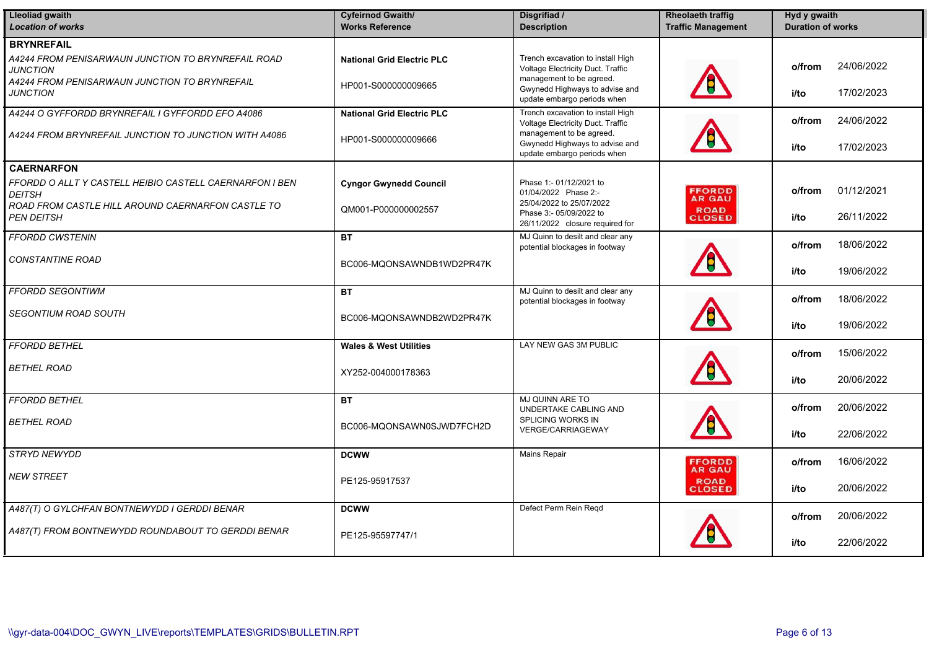| <b>Lleoliad gwaith</b><br><b>Location of works</b>                                                                                                             | <b>Cyfeirnod Gwaith/</b><br><b>Works Reference</b>       | Disgrifiad /<br><b>Description</b>                                                                                                                                  | <b>Rheolaeth traffig</b><br><b>Traffic Management</b> | Hyd y gwaith<br><b>Duration of works</b>   |
|----------------------------------------------------------------------------------------------------------------------------------------------------------------|----------------------------------------------------------|---------------------------------------------------------------------------------------------------------------------------------------------------------------------|-------------------------------------------------------|--------------------------------------------|
| <b>BRYNREFAIL</b><br>A4244 FROM PENISARWAUN JUNCTION TO BRYNREFAIL ROAD<br><b>JUNCTION</b><br>A4244 FROM PENISARWAUN JUNCTION TO BRYNREFAIL<br><b>JUNCTION</b> | <b>National Grid Electric PLC</b><br>HP001-S000000009665 | Trench excavation to install High<br>Voltage Electricity Duct. Traffic<br>management to be agreed.<br>Gwynedd Highways to advise and<br>update embargo periods when |                                                       | 24/06/2022<br>o/from<br>17/02/2023<br>i/to |
| A4244 O GYFFORDD BRYNREFAIL I GYFFORDD EFO A4086<br>A4244 FROM BRYNREFAIL JUNCTION TO JUNCTION WITH A4086                                                      | <b>National Grid Electric PLC</b><br>HP001-S000000009666 | Trench excavation to install High<br>Voltage Electricity Duct. Traffic<br>management to be agreed.<br>Gwynedd Highways to advise and<br>update embargo periods when |                                                       | 24/06/2022<br>o/from<br>17/02/2023<br>i/to |
| <b>CAERNARFON</b>                                                                                                                                              |                                                          |                                                                                                                                                                     |                                                       |                                            |
| FFORDD O ALLT Y CASTELL HEIBIO CASTELL CAERNARFON I BEN<br><b>DEITSH</b>                                                                                       | <b>Cyngor Gwynedd Council</b>                            | Phase 1:- 01/12/2021 to<br>01/04/2022 Phase 2:-<br>25/04/2022 to 25/07/2022                                                                                         | <b>FFORDD</b><br><b>AR GAU</b>                        | 01/12/2021<br>o/from                       |
| ROAD FROM CASTLE HILL AROUND CAERNARFON CASTLE TO<br><b>PEN DEITSH</b>                                                                                         | QM001-P000000002557                                      | Phase 3:- 05/09/2022 to<br>26/11/2022 closure required for                                                                                                          | <b>ROAD</b><br><b>CLOSED</b>                          | 26/11/2022<br>i/to                         |
| <b>FFORDD CWSTENIN</b>                                                                                                                                         | <b>BT</b>                                                | MJ Quinn to desilt and clear any<br>potential blockages in footway                                                                                                  |                                                       | 18/06/2022<br>o/from                       |
| <b>CONSTANTINE ROAD</b>                                                                                                                                        | BC006-MQONSAWNDB1WD2PR47K                                |                                                                                                                                                                     |                                                       | 19/06/2022<br>i/to                         |
| <b>FFORDD SEGONTIWM</b>                                                                                                                                        | <b>BT</b>                                                | MJ Quinn to desilt and clear any<br>potential blockages in footway                                                                                                  |                                                       | 18/06/2022<br>o/from                       |
| <b>SEGONTIUM ROAD SOUTH</b>                                                                                                                                    | BC006-MQONSAWNDB2WD2PR47K                                |                                                                                                                                                                     |                                                       | 19/06/2022<br>i/to                         |
| <b>FFORDD BETHEL</b>                                                                                                                                           | <b>Wales &amp; West Utilities</b>                        | LAY NEW GAS 3M PUBLIC                                                                                                                                               |                                                       | 15/06/2022<br>o/from                       |
| <b>BETHEL ROAD</b>                                                                                                                                             | XY252-004000178363                                       |                                                                                                                                                                     |                                                       | 20/06/2022<br>i/to                         |
| <b>FFORDD BETHEL</b>                                                                                                                                           | <b>BT</b>                                                | MJ QUINN ARE TO<br>UNDERTAKE CABLING AND<br><b>SPLICING WORKS IN</b>                                                                                                |                                                       | 20/06/2022<br>o/from                       |
| BETHEL ROAD                                                                                                                                                    | BC006-MQONSAWN0SJWD7FCH2D                                | <b>VERGE/CARRIAGEWAY</b>                                                                                                                                            |                                                       | 22/06/2022<br>i/to                         |
| STRYD NEWYDD                                                                                                                                                   | <b>DCWW</b>                                              | Mains Repair                                                                                                                                                        | <b>FFORDD</b><br><b>AR GAU</b>                        | 16/06/2022<br>o/from                       |
| <b>NEW STREET</b>                                                                                                                                              | PE125-95917537                                           |                                                                                                                                                                     | <b>ROAD</b><br><b>CLOSED</b>                          | 20/06/2022<br>i/to                         |
| A487(T) O GYLCHFAN BONTNEWYDD I GERDDI BENAR                                                                                                                   | <b>DCWW</b>                                              | Defect Perm Rein Regd                                                                                                                                               |                                                       | 20/06/2022<br>o/from                       |
| A487(T) FROM BONTNEWYDD ROUNDABOUT TO GERDDI BENAR                                                                                                             | PE125-95597747/1                                         |                                                                                                                                                                     |                                                       | 22/06/2022<br>i/to                         |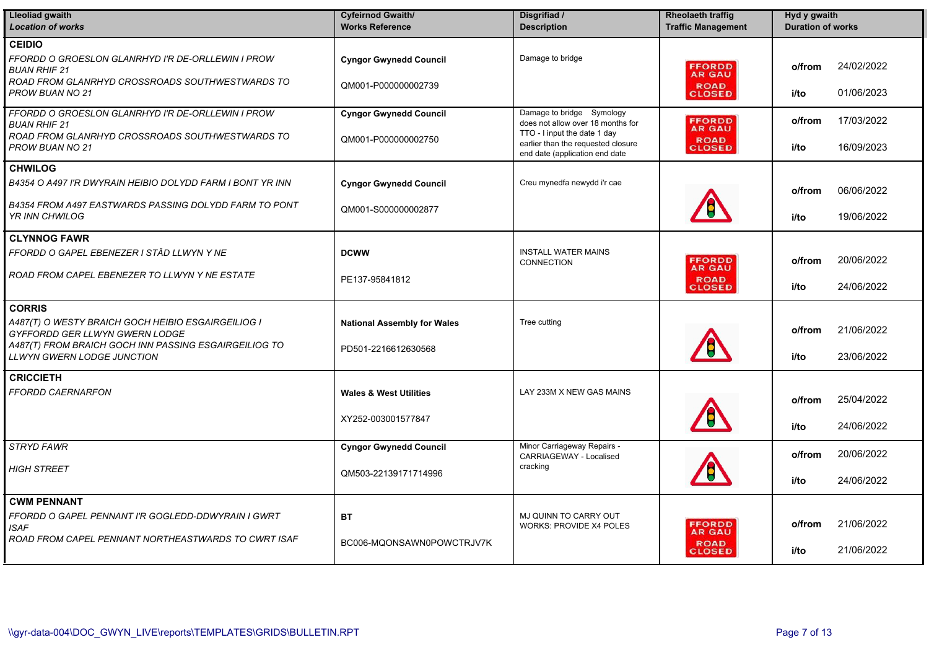| <b>Lleoliad gwaith</b><br><b>Location of works</b>                                                                                                                          | <b>Cyfeirnod Gwaith/</b><br><b>Works Reference</b>        | Disgrifiad /<br><b>Description</b>                                                                                                                                     | <b>Rheolaeth traffig</b><br><b>Traffic Management</b>          | Hyd y gwaith<br><b>Duration of works</b> |                          |
|-----------------------------------------------------------------------------------------------------------------------------------------------------------------------------|-----------------------------------------------------------|------------------------------------------------------------------------------------------------------------------------------------------------------------------------|----------------------------------------------------------------|------------------------------------------|--------------------------|
| <b>CEIDIO</b><br>FFORDD O GROESLON GLANRHYD I'R DE-ORLLEWIN I PROW<br><b>BUAN RHIF 21</b><br>ROAD FROM GLANRHYD CROSSROADS SOUTHWESTWARDS TO<br><b>PROW BUAN NO 21</b>      | <b>Cyngor Gwynedd Council</b><br>QM001-P000000002739      | Damage to bridge                                                                                                                                                       | <b>FFORDD</b><br><b>AR GAU</b><br><b>ROAD</b><br><b>CLOSED</b> | o/from<br>i/to                           | 24/02/2022<br>01/06/2023 |
| FFORDD O GROESLON GLANRHYD I'R DE-ORLLEWIN I PROW<br><b>BUAN RHIF 21</b><br>ROAD FROM GLANRHYD CROSSROADS SOUTHWESTWARDS TO<br>PROW BUAN NO 21                              | <b>Cyngor Gwynedd Council</b><br>QM001-P000000002750      | Damage to bridge Symology<br>does not allow over 18 months for<br>TTO - I input the date 1 day<br>earlier than the requested closure<br>end date (application end date | <b>FFORDD</b><br><b>AR GAU</b><br><b>ROAD</b><br>CLOSED        | o/from<br>i/to                           | 17/03/2022<br>16/09/2023 |
| <b>CHWILOG</b>                                                                                                                                                              |                                                           |                                                                                                                                                                        |                                                                |                                          |                          |
| B4354 O A497 I'R DWYRAIN HEIBIO DOLYDD FARM I BONT YR INN                                                                                                                   | <b>Cyngor Gwynedd Council</b>                             | Creu mynedfa newydd i'r cae                                                                                                                                            |                                                                | o/from                                   | 06/06/2022               |
| B4354 FROM A497 EASTWARDS PASSING DOLYDD FARM TO PONT<br>YR INN CHWILOG                                                                                                     | QM001-S000000002877                                       |                                                                                                                                                                        |                                                                | i/to                                     | 19/06/2022               |
| <b>CLYNNOG FAWR</b>                                                                                                                                                         |                                                           |                                                                                                                                                                        |                                                                |                                          |                          |
| FFORDD O GAPEL EBENEZER I STÂD LLWYN Y NE                                                                                                                                   | <b>DCWW</b>                                               | <b>INSTALL WATER MAINS</b><br>CONNECTION                                                                                                                               | <b>FFORDD</b>                                                  | o/from                                   | 20/06/2022               |
| ROAD FROM CAPEL EBENEZER TO LLWYN Y NE ESTATE                                                                                                                               | PE137-95841812                                            |                                                                                                                                                                        | <b>AR GAU</b><br><b>ROAD</b><br><b>CLOSED</b>                  | i/to                                     | 24/06/2022               |
| <b>CORRIS</b>                                                                                                                                                               |                                                           |                                                                                                                                                                        |                                                                |                                          |                          |
| A487(T) O WESTY BRAICH GOCH HEIBIO ESGAIRGEILIOG I<br>GYFFORDD GER LLWYN GWERN LODGE<br>A487(T) FROM BRAICH GOCH INN PASSING ESGAIRGEILIOG TO<br>LLWYN GWERN LODGE JUNCTION | <b>National Assembly for Wales</b><br>PD501-2216612630568 | Tree cutting                                                                                                                                                           |                                                                | o/from<br>i/to                           | 21/06/2022<br>23/06/2022 |
| <b>CRICCIETH</b>                                                                                                                                                            |                                                           |                                                                                                                                                                        |                                                                |                                          |                          |
| FFORDD CAERNARFON                                                                                                                                                           | <b>Wales &amp; West Utilities</b>                         | LAY 233M X NEW GAS MAINS                                                                                                                                               |                                                                | o/from                                   | 25/04/2022               |
|                                                                                                                                                                             | XY252-003001577847                                        |                                                                                                                                                                        |                                                                | i/to                                     | 24/06/2022               |
| <b>STRYD FAWR</b>                                                                                                                                                           | <b>Cyngor Gwynedd Council</b>                             | Minor Carriageway Repairs -<br>CARRIAGEWAY - Localised                                                                                                                 |                                                                | o/from                                   | 20/06/2022               |
| <b>HIGH STREET</b>                                                                                                                                                          | QM503-22139171714996                                      | cracking                                                                                                                                                               |                                                                | i/to                                     | 24/06/2022               |
| <b>CWM PENNANT</b>                                                                                                                                                          |                                                           |                                                                                                                                                                        |                                                                |                                          |                          |
| FFORDD O GAPEL PENNANT I'R GOGLEDD-DDWYRAIN I GWRT<br>ISAF                                                                                                                  | BT                                                        | MJ QUINN TO CARRY OUT<br><b>WORKS: PROVIDE X4 POLES</b>                                                                                                                | <b>FFORDD</b><br><b>AR GAU</b>                                 | o/from                                   | 21/06/2022               |
| ROAD FROM CAPEL PENNANT NORTHEASTWARDS TO CWRT ISAF                                                                                                                         | BC006-MQONSAWN0POWCTRJV7K                                 |                                                                                                                                                                        | <b>ROAD</b><br><b>CLOSED</b>                                   | i/to                                     | 21/06/2022               |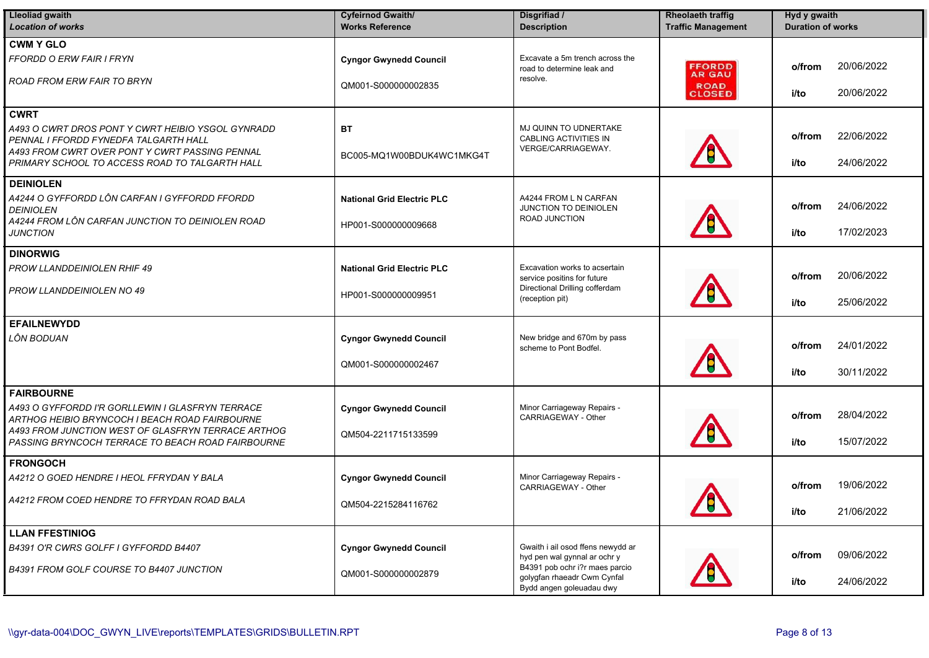| <b>Lleoliad gwaith</b><br><b>Location of works</b>                                                      | <b>Cyfeirnod Gwaith/</b><br><b>Works Reference</b> | Disgrifiad /<br><b>Description</b>                                                        | <b>Rheolaeth traffig</b><br><b>Traffic Management</b> | Hyd y gwaith<br><b>Duration of works</b> |
|---------------------------------------------------------------------------------------------------------|----------------------------------------------------|-------------------------------------------------------------------------------------------|-------------------------------------------------------|------------------------------------------|
| <b>CWM Y GLO</b>                                                                                        |                                                    |                                                                                           |                                                       |                                          |
| <b>FFORDD O ERW FAIR I FRYN</b>                                                                         | <b>Cyngor Gwynedd Council</b>                      | Excavate a 5m trench across the<br>road to determine leak and                             | <b>FFORDD</b><br><b>AR GAU</b>                        | 20/06/2022<br>o/from                     |
| ROAD FROM ERW FAIR TO BRYN                                                                              | QM001-S000000002835                                | resolve.                                                                                  | <b>ROAD</b><br><b>CLOSED</b>                          | 20/06/2022<br>i/to                       |
| <b>CWRT</b>                                                                                             |                                                    |                                                                                           |                                                       |                                          |
| A493 O CWRT DROS PONT Y CWRT HEIBIO YSGOL GYNRADD<br>PENNAL I FFORDD FYNEDFA TALGARTH HALL              | <b>BT</b>                                          | MJ QUINN TO UDNERTAKE<br><b>CABLING ACTIVITIES IN</b><br>VERGE/CARRIAGEWAY.               |                                                       | 22/06/2022<br>o/from                     |
| A493 FROM CWRT OVER PONT Y CWRT PASSING PENNAL<br>PRIMARY SCHOOL TO ACCESS ROAD TO TALGARTH HALL        | BC005-MQ1W00BDUK4WC1MKG4T                          |                                                                                           |                                                       | 24/06/2022<br>i/to                       |
| <b>DEINIOLEN</b>                                                                                        |                                                    |                                                                                           |                                                       |                                          |
| A4244 O GYFFORDD LÔN CARFAN I GYFFORDD FFORDD<br><b>DEINIOLEN</b>                                       | <b>National Grid Electric PLC</b>                  | A4244 FROM L N CARFAN<br>JUNCTION TO DEINIOLEN                                            |                                                       | 24/06/2022<br>o/from                     |
| A4244 FROM LÔN CARFAN JUNCTION TO DEINIOLEN ROAD<br><b>JUNCTION</b>                                     | HP001-S000000009668                                | ROAD JUNCTION                                                                             |                                                       | 17/02/2023<br>i/to                       |
| <b>DINORWIG</b>                                                                                         |                                                    |                                                                                           |                                                       |                                          |
| PROW LLANDDEINIOLEN RHIF 49                                                                             | <b>National Grid Electric PLC</b>                  | Excavation works to acsertain<br>service positins for future                              |                                                       | 20/06/2022<br>o/from                     |
| PROW LLANDDEINIOLEN NO 49                                                                               | HP001-S000000009951                                | Directional Drilling cofferdam<br>(reception pit)                                         |                                                       | 25/06/2022<br>i/to                       |
| <b>EFAILNEWYDD</b>                                                                                      |                                                    |                                                                                           |                                                       |                                          |
| LÔN BODUAN                                                                                              | <b>Cyngor Gwynedd Council</b>                      | New bridge and 670m by pass<br>scheme to Pont Bodfel.                                     |                                                       | 24/01/2022<br>o/from                     |
|                                                                                                         | QM001-S000000002467                                |                                                                                           |                                                       | 30/11/2022<br>i/to                       |
| <b>FAIRBOURNE</b>                                                                                       |                                                    |                                                                                           |                                                       |                                          |
| A493 O GYFFORDD I'R GORLLEWIN I GLASFRYN TERRACE<br>ARTHOG HEIBIO BRYNCOCH I BEACH ROAD FAIRBOURNE      | <b>Cyngor Gwynedd Council</b>                      | Minor Carriageway Repairs -<br>CARRIAGEWAY - Other                                        |                                                       | 28/04/2022<br>o/from                     |
| A493 FROM JUNCTION WEST OF GLASFRYN TERRACE ARTHOG<br>PASSING BRYNCOCH TERRACE TO BEACH ROAD FAIRBOURNE | QM504-2211715133599                                |                                                                                           |                                                       | 15/07/2022<br>i/to                       |
| <b>FRONGOCH</b>                                                                                         |                                                    |                                                                                           |                                                       |                                          |
| A4212 O GOED HENDRE I HEOL FFRYDAN Y BALA                                                               | <b>Cyngor Gwynedd Council</b>                      | Minor Carriageway Repairs -<br>CARRIAGEWAY - Other                                        |                                                       | 19/06/2022<br>o/from                     |
| A4212 FROM COED HENDRE TO FFRYDAN ROAD BALA                                                             | QM504-2215284116762                                |                                                                                           | Æ<br><u> 787</u>                                      | 21/06/2022<br>i/to                       |
| <b>LLAN FFESTINIOG</b>                                                                                  |                                                    |                                                                                           |                                                       |                                          |
| B4391 O'R CWRS GOLFF I GYFFORDD B4407                                                                   | <b>Cyngor Gwynedd Council</b>                      | Gwaith i ail osod ffens newydd ar<br>hyd pen wal gynnal ar ochr y                         |                                                       | 09/06/2022<br>o/from                     |
| B4391 FROM GOLF COURSE TO B4407 JUNCTION                                                                | QM001-S000000002879                                | B4391 pob ochr i?r maes parcio<br>golygfan rhaeadr Cwm Cynfal<br>Bydd angen goleuadau dwy |                                                       | 24/06/2022<br>i/to                       |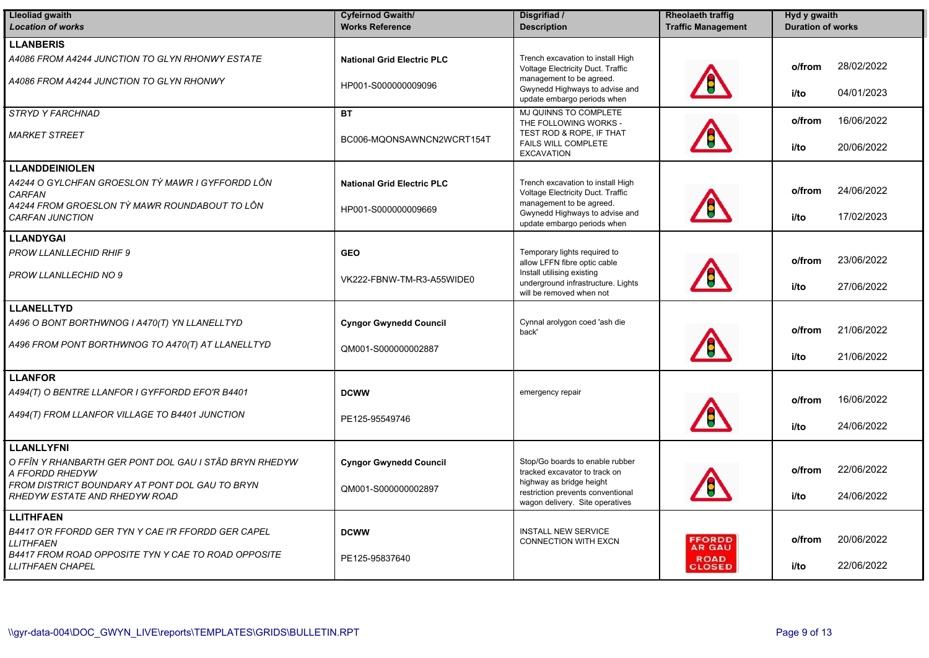| <b>Lleoliad gwaith</b>                                                          | <b>Cyfeirnod Gwaith/</b>          | Disgrifiad /                                                                                     | <b>Rheolaeth traffig</b>     | Hyd y gwaith             |
|---------------------------------------------------------------------------------|-----------------------------------|--------------------------------------------------------------------------------------------------|------------------------------|--------------------------|
| <b>Location of works</b>                                                        | <b>Works Reference</b>            | <b>Description</b>                                                                               | <b>Traffic Management</b>    | <b>Duration of works</b> |
| <b>LLANBERIS</b>                                                                |                                   |                                                                                                  |                              |                          |
| A4086 FROM A4244 JUNCTION TO GLYN RHONWY ESTATE                                 | <b>National Grid Electric PLC</b> | Trench excavation to install High<br>Voltage Electricity Duct. Traffic                           |                              | 28/02/2022<br>o/from     |
| A4086 FROM A4244 JUNCTION TO GLYN RHONWY                                        | HP001-S000000009096               | management to be agreed.<br>Gwynedd Highways to advise and<br>update embargo periods when        |                              | 04/01/2023<br>i/to       |
| <b>STRYD Y FARCHNAD</b>                                                         | <b>BT</b>                         | MJ QUINNS TO COMPLETE<br>THE FOLLOWING WORKS -                                                   |                              | 16/06/2022<br>o/from     |
| <i>MARKET STREET</i>                                                            | BC006-MQONSAWNCN2WCRT154T         | TEST ROD & ROPE, IF THAT<br>FAILS WILL COMPLETE<br><b>EXCAVATION</b>                             |                              | i/to<br>20/06/2022       |
| <b>LLANDDEINIOLEN</b>                                                           |                                   |                                                                                                  |                              |                          |
| A4244 O GYLCHFAN GROESLON TÝ MAWR I GYFFORDD LÔN<br>CARFAN                      | <b>National Grid Electric PLC</b> | Trench excavation to install High<br>Voltage Electricity Duct. Traffic                           |                              | 24/06/2022<br>o/from     |
| A4244 FROM GROESLON TÝ MAWR ROUNDABOUT TO LÔN<br><b>CARFAN JUNCTION</b>         | HP001-S000000009669               | management to be agreed.<br>Gwynedd Highways to advise and<br>update embargo periods when        |                              | 17/02/2023<br>i/to       |
| <b>LLANDYGAI</b>                                                                |                                   |                                                                                                  |                              |                          |
| <b>PROW LLANLLECHID RHIF 9</b>                                                  | <b>GEO</b>                        | Temporary lights required to<br>allow LFFN fibre optic cable                                     |                              | 23/06/2022<br>o/from     |
| PROW LLANLLECHID NO 9                                                           | VK222-FBNW-TM-R3-A55WIDE0         | Install utilising existing<br>underground infrastructure. Lights<br>will be removed when not     |                              | i/to<br>27/06/2022       |
| <b>LLANELLTYD</b>                                                               |                                   |                                                                                                  |                              |                          |
| A496 O BONT BORTHWNOG I A470(T) YN LLANELLTYD                                   | <b>Cyngor Gwynedd Council</b>     | Cynnal arolygon coed 'ash die<br>back'                                                           |                              | 21/06/2022<br>o/from     |
| A496 FROM PONT BORTHWNOG TO A470(T) AT LLANELLTYD                               | QM001-S000000002887               |                                                                                                  |                              | 21/06/2022<br>i/to       |
| <b>LLANFOR</b>                                                                  |                                   |                                                                                                  |                              |                          |
| A494(T) O BENTRE LLANFOR I GYFFORDD EFO'R B4401                                 | <b>DCWW</b>                       | emergency repair                                                                                 |                              | 16/06/2022<br>o/from     |
| A494(T) FROM LLANFOR VILLAGE TO B4401 JUNCTION                                  | PE125-95549746                    |                                                                                                  |                              | 24/06/2022<br>i/to       |
| <b>LLANLLYFNI</b>                                                               |                                   |                                                                                                  |                              |                          |
| O FFÎN Y RHANBARTH GER PONT DOL GAU I STÂD BRYN RHEDYW<br>A FFORDD RHEDYW       | <b>Cyngor Gwynedd Council</b>     | Stop/Go boards to enable rubber<br>tracked excavator to track on                                 |                              | 22/06/2022<br>o/from     |
| FROM DISTRICT BOUNDARY AT PONT DOL GAU TO BRYN<br>RHEDYW ESTATE AND RHEDYW ROAD | QM001-S000000002897               | highway as bridge height<br>restriction prevents conventional<br>wagon delivery. Site operatives |                              | 24/06/2022<br>i/to       |
| <b>LLITHFAEN</b>                                                                |                                   |                                                                                                  |                              |                          |
| B4417 O'R FFORDD GER TYN Y CAE I'R FFORDD GER CAPEL<br><b>LLITHFAEN</b>         | <b>DCWW</b>                       | <b>INSTALL NEW SERVICE</b><br><b>CONNECTION WITH EXCN</b>                                        | <b>FFORDD</b><br>AR GAU      | 20/06/2022<br>o/from     |
| B4417 FROM ROAD OPPOSITE TYN Y CAE TO ROAD OPPOSITE<br><i>LLITHFAEN CHAPEL</i>  | PE125-95837640                    |                                                                                                  | <b>ROAD</b><br><b>CLOSED</b> | 22/06/2022<br>i/to       |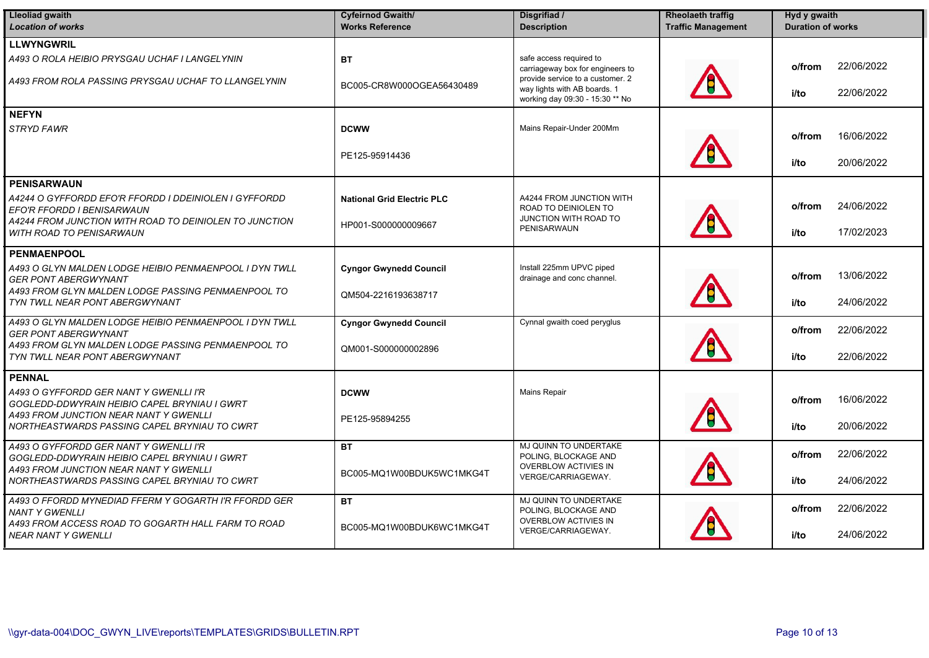| <b>Lleoliad gwaith</b><br><b>Location of works</b>                                        | <b>Cyfeirnod Gwaith/</b><br><b>Works Reference</b> | Disgrifiad /<br><b>Description</b>                                                                  | <b>Rheolaeth traffig</b><br><b>Traffic Management</b> | Hyd y gwaith<br><b>Duration of works</b> |
|-------------------------------------------------------------------------------------------|----------------------------------------------------|-----------------------------------------------------------------------------------------------------|-------------------------------------------------------|------------------------------------------|
| <b>LLWYNGWRIL</b>                                                                         |                                                    |                                                                                                     |                                                       |                                          |
| A493 O ROLA HEIBIO PRYSGAU UCHAF I LANGELYNIN                                             | <b>BT</b>                                          | safe access required to<br>carriageway box for engineers to                                         |                                                       | 22/06/2022<br>o/from                     |
| A493 FROM ROLA PASSING PRYSGAU UCHAF TO LLANGELYNIN                                       | BC005-CR8W000OGEA56430489                          | provide service to a customer. 2<br>way lights with AB boards. 1<br>working day 09:30 - 15:30 ** No |                                                       | 22/06/2022<br>i/to                       |
| <b>NEFYN</b>                                                                              |                                                    |                                                                                                     |                                                       |                                          |
| <b>STRYD FAWR</b>                                                                         | <b>DCWW</b>                                        | Mains Repair-Under 200Mm                                                                            |                                                       | 16/06/2022<br>o/from                     |
|                                                                                           | PE125-95914436                                     |                                                                                                     |                                                       | 20/06/2022<br>i/to                       |
| <b>PENISARWAUN</b>                                                                        |                                                    |                                                                                                     |                                                       |                                          |
| A4244 O GYFFORDD EFO'R FFORDD I DDEINIOLEN I GYFFORDD<br>EFO'R FFORDD I BENISARWAUN       | <b>National Grid Electric PLC</b>                  | A4244 FROM JUNCTION WITH<br>ROAD TO DEINIOLEN TO                                                    |                                                       | 24/06/2022<br>o/from                     |
| A4244 FROM JUNCTION WITH ROAD TO DEINIOLEN TO JUNCTION<br><b>WITH ROAD TO PENISARWAUN</b> | HP001-S000000009667                                | JUNCTION WITH ROAD TO<br>PENISARWAUN                                                                |                                                       | 17/02/2023<br>i/to                       |
| <b>PENMAENPOOL</b>                                                                        |                                                    |                                                                                                     |                                                       |                                          |
| A493 O GLYN MALDEN LODGE HEIBIO PENMAENPOOL I DYN TWLL<br><b>GER PONT ABERGWYNANT</b>     | <b>Cyngor Gwynedd Council</b>                      | Install 225mm UPVC piped<br>drainage and conc channel.                                              |                                                       | 13/06/2022<br>o/from                     |
| A493 FROM GLYN MALDEN LODGE PASSING PENMAENPOOL TO<br>TYN TWLL NEAR PONT ABERGWYNANT      | QM504-2216193638717                                |                                                                                                     |                                                       | 24/06/2022<br>i/to                       |
| A493 O GLYN MALDEN LODGE HEIBIO PENMAENPOOL I DYN TWLL<br><b>GER PONT ABERGWYNANT</b>     | <b>Cyngor Gwynedd Council</b>                      | Cynnal gwaith coed peryglus                                                                         |                                                       | 22/06/2022<br>o/from                     |
| A493 FROM GLYN MALDEN LODGE PASSING PENMAENPOOL TO<br>TYN TWLL NEAR PONT ABERGWYNANT      | QM001-S000000002896                                |                                                                                                     |                                                       | 22/06/2022<br>i/to                       |
| <b>PENNAL</b>                                                                             |                                                    |                                                                                                     |                                                       |                                          |
| A493 O GYFFORDD GER NANT Y GWENLLI I'R<br>GOGLEDD-DDWYRAIN HEIBIO CAPEL BRYNIAU I GWRT    | <b>DCWW</b>                                        | <b>Mains Repair</b>                                                                                 |                                                       | 16/06/2022<br>o/from                     |
| A493 FROM JUNCTION NEAR NANT Y GWENLLI<br>NORTHEASTWARDS PASSING CAPEL BRYNIAU TO CWRT    | PE125-95894255                                     |                                                                                                     |                                                       | 20/06/2022<br>i/to                       |
| A493 O GYFFORDD GER NANT Y GWENLLI I'R<br>GOGLEDD-DDWYRAIN HEIBIO CAPEL BRYNIAU I GWRT    | <b>BT</b>                                          | MJ QUINN TO UNDERTAKE<br>POLING, BLOCKAGE AND<br>OVERBLOW ACTIVIES IN                               |                                                       | 22/06/2022<br>o/from                     |
| A493 FROM JUNCTION NEAR NANT Y GWENLLI<br>NORTHEASTWARDS PASSING CAPEL BRYNIAU TO CWRT    | BC005-MQ1W00BDUK5WC1MKG4T                          | VERGE/CARRIAGEWAY.                                                                                  |                                                       | 24/06/2022<br>i/to                       |
| A493 O FFORDD MYNEDIAD FFERM Y GOGARTH I'R FFORDD GER<br><b>NANT Y GWENLLI</b>            | <b>BT</b>                                          | MJ QUINN TO UNDERTAKE<br>POLING, BLOCKAGE AND                                                       |                                                       | 22/06/2022<br>o/from                     |
| A493 FROM ACCESS ROAD TO GOGARTH HALL FARM TO ROAD<br><b>NEAR NANT Y GWENLLI</b>          | BC005-MQ1W00BDUK6WC1MKG4T                          | OVERBLOW ACTIVIES IN<br>VERGE/CARRIAGEWAY.                                                          |                                                       | 24/06/2022<br>i/to                       |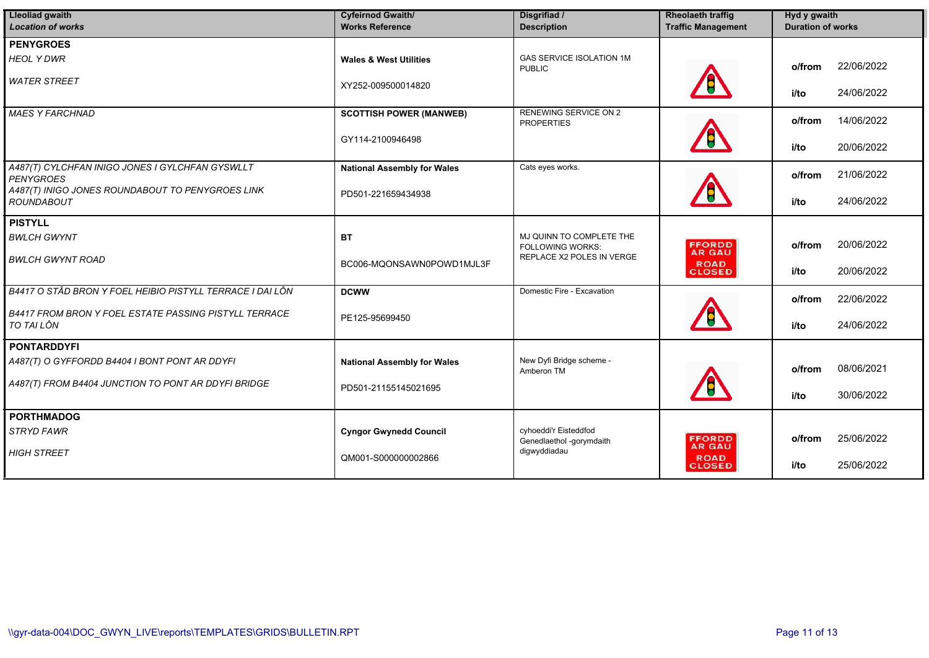| <b>Lleoliad gwaith</b><br><b>Location of works</b>                         | <b>Cyfeirnod Gwaith/</b><br><b>Works Reference</b> | Disgrifiad /<br><b>Description</b>                  | <b>Rheolaeth traffig</b><br><b>Traffic Management</b> | Hyd y gwaith<br><b>Duration of works</b> |
|----------------------------------------------------------------------------|----------------------------------------------------|-----------------------------------------------------|-------------------------------------------------------|------------------------------------------|
| <b>PENYGROES</b>                                                           |                                                    |                                                     |                                                       |                                          |
| <b>HEOL Y DWR</b>                                                          | <b>Wales &amp; West Utilities</b>                  | <b>GAS SERVICE ISOLATION 1M</b><br><b>PUBLIC</b>    |                                                       | 22/06/2022<br>o/from                     |
| <b>WATER STREET</b>                                                        | XY252-009500014820                                 |                                                     |                                                       | 24/06/2022<br>i/to                       |
| <b>MAES Y FARCHNAD</b>                                                     | <b>SCOTTISH POWER (MANWEB)</b>                     | <b>RENEWING SERVICE ON 2</b><br><b>PROPERTIES</b>   |                                                       | 14/06/2022<br>o/from                     |
|                                                                            | GY114-2100946498                                   |                                                     |                                                       | 20/06/2022<br>i/to                       |
| A487(T) CYLCHFAN INIGO JONES I GYLCHFAN GYSWLLT<br><b>PENYGROES</b>        | <b>National Assembly for Wales</b>                 | Cats eyes works.                                    |                                                       | 21/06/2022<br>o/from                     |
| A487(T) INIGO JONES ROUNDABOUT TO PENYGROES LINK<br><b>ROUNDABOUT</b>      | PD501-221659434938                                 |                                                     |                                                       | 24/06/2022<br>i/to                       |
| <b>PISTYLL</b>                                                             |                                                    |                                                     |                                                       |                                          |
| <b>BWLCH GWYNT</b>                                                         | <b>BT</b>                                          | MJ QUINN TO COMPLETE THE<br><b>FOLLOWING WORKS:</b> | <b>FFORDD</b><br><b>AR GAU</b>                        | 20/06/2022<br>o/from                     |
| <b>BWLCH GWYNT ROAD</b>                                                    | BC006-MQONSAWN0POWD1MJL3F                          | REPLACE X2 POLES IN VERGE                           | <b>ROAD</b><br><b>CLOSED</b>                          | 20/06/2022<br>i/to                       |
| B4417 O STÂD BRON Y FOEL HEIBIO PISTYLL TERRACE I DAI LÔN                  | <b>DCWW</b>                                        | Domestic Fire - Excavation                          |                                                       | 22/06/2022<br>o/from                     |
| <b>B4417 FROM BRON Y FOEL ESTATE PASSING PISTYLL TERRACE</b><br>TO TAI LÔN | PE125-95699450                                     |                                                     |                                                       | 24/06/2022<br>i/to                       |
| <b>PONTARDDYFI</b>                                                         |                                                    |                                                     |                                                       |                                          |
| A487(T) O GYFFORDD B4404 I BONT PONT AR DDYFI                              | <b>National Assembly for Wales</b>                 | New Dyfi Bridge scheme -<br>Amberon TM              |                                                       | 08/06/2021<br>o/from                     |
| A487(T) FROM B4404 JUNCTION TO PONT AR DDYFI BRIDGE                        | PD501-21155145021695                               |                                                     |                                                       | 30/06/2022<br>i/to                       |
| <b>PORTHMADOG</b>                                                          |                                                    |                                                     |                                                       |                                          |
| <b>STRYD FAWR</b>                                                          | <b>Cyngor Gwynedd Council</b>                      | cyhoeddi'r Eisteddfod<br>Genedlaethol -gorymdaith   | <b>FFORDD</b><br><b>AR GAU</b>                        | 25/06/2022<br>o/from                     |
| <b>HIGH STREET</b>                                                         | QM001-S000000002866                                | digwyddiadau                                        | <b>ROAD</b><br><b>CLOSED</b>                          | 25/06/2022<br>i/to                       |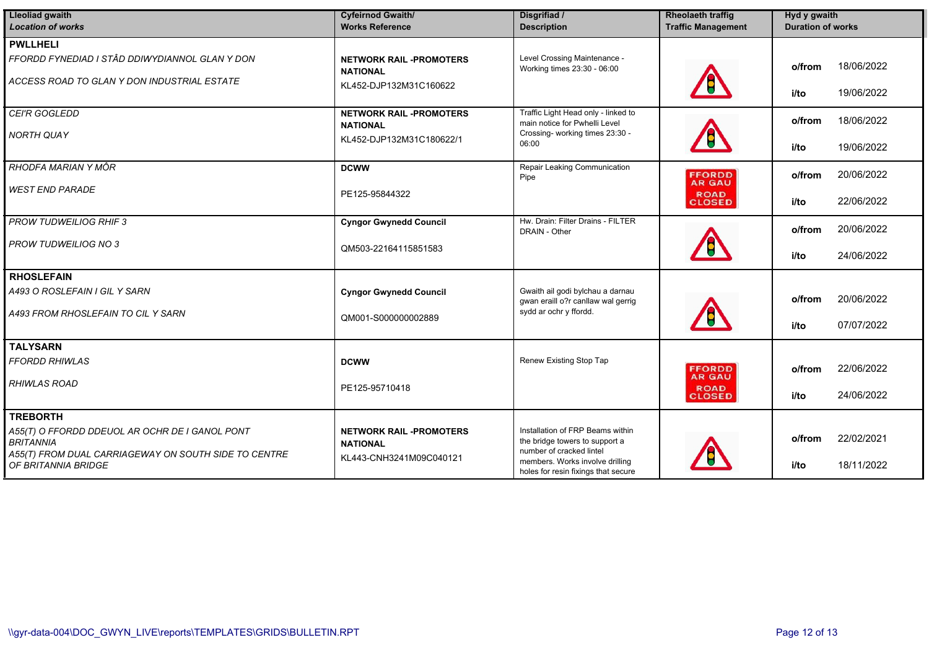| <b>Lleoliad gwaith</b><br><b>Location of works</b>                          | <b>Cyfeirnod Gwaith/</b><br><b>Works Reference</b> | Disgrifiad /<br><b>Description</b>                                                                 | <b>Rheolaeth traffig</b><br><b>Traffic Management</b> | Hyd y gwaith<br><b>Duration of works</b> |  |
|-----------------------------------------------------------------------------|----------------------------------------------------|----------------------------------------------------------------------------------------------------|-------------------------------------------------------|------------------------------------------|--|
| <b>PWLLHELI</b>                                                             |                                                    |                                                                                                    |                                                       |                                          |  |
| FFORDD FYNEDIAD I STÂD DDIWYDIANNOL GLAN Y DON                              | <b>NETWORK RAIL -PROMOTERS</b><br><b>NATIONAL</b>  | Level Crossing Maintenance -<br>Working times 23:30 - 06:00                                        |                                                       | 18/06/2022<br>o/from                     |  |
| ACCESS ROAD TO GLAN Y DON INDUSTRIAL ESTATE                                 | KL452-DJP132M31C160622                             |                                                                                                    |                                                       | 19/06/2022<br>i/to                       |  |
| CEI'R GOGLEDD                                                               | <b>NETWORK RAIL -PROMOTERS</b>                     | Traffic Light Head only - linked to<br>main notice for Pwhelli Level                               |                                                       | 18/06/2022<br>o/from                     |  |
| <b>NORTH QUAY</b>                                                           | <b>NATIONAL</b><br>KL452-DJP132M31C180622/1        | Crossing- working times 23:30 -<br>06:00                                                           |                                                       | 19/06/2022<br>i/to                       |  |
| <b>RHODFA MARIAN Y MÔR</b>                                                  | <b>DCWW</b>                                        | Repair Leaking Communication<br>Pipe                                                               | <b>FFORDD</b><br><b>AR GAU</b>                        | 20/06/2022<br>o/from                     |  |
| <b>WEST END PARADE</b>                                                      | PE125-95844322                                     |                                                                                                    | <b>ROAD</b><br><b>CLOSED</b>                          | 22/06/2022<br>i/to                       |  |
| <b>PROW TUDWEILIOG RHIF 3</b>                                               | <b>Cyngor Gwynedd Council</b>                      | Hw. Drain: Filter Drains - FILTER<br>DRAIN - Other                                                 |                                                       | 20/06/2022<br>o/from                     |  |
| <b>PROW TUDWEILIOG NO 3</b>                                                 | QM503-22164115851583                               |                                                                                                    |                                                       | 24/06/2022<br>i/to                       |  |
| <b>RHOSLEFAIN</b>                                                           |                                                    |                                                                                                    |                                                       |                                          |  |
| A493 O ROSLEFAIN I GIL Y SARN                                               | <b>Cyngor Gwynedd Council</b>                      | Gwaith ail godi bylchau a darnau<br>gwan eraill o?r canllaw wal gerrig                             |                                                       | 20/06/2022<br>o/from                     |  |
| A493 FROM RHOSLEFAIN TO CIL Y SARN                                          | QM001-S000000002889                                | sydd ar ochr y ffordd.                                                                             |                                                       | 07/07/2022<br>i/to                       |  |
| <b>TALYSARN</b>                                                             |                                                    |                                                                                                    |                                                       |                                          |  |
| <b>FFORDD RHIWLAS</b>                                                       | <b>DCWW</b>                                        | Renew Existing Stop Tap                                                                            | <b>FFORDD</b><br><b>AR GAU</b>                        | 22/06/2022<br>o/from                     |  |
| <b>RHIWLAS ROAD</b>                                                         | PE125-95710418                                     |                                                                                                    | <b>ROAD</b><br><b>CLOSED</b>                          | 24/06/2022<br>i/to                       |  |
| <b>TREBORTH</b>                                                             |                                                    |                                                                                                    |                                                       |                                          |  |
| A55(T) O FFORDD DDEUOL AR OCHR DE I GANOL PONT<br><b>BRITANNIA</b>          | <b>NETWORK RAIL -PROMOTERS</b><br><b>NATIONAL</b>  | Installation of FRP Beams within<br>the bridge towers to support a                                 |                                                       | 22/02/2021<br>o/from                     |  |
| A55(T) FROM DUAL CARRIAGEWAY ON SOUTH SIDE TO CENTRE<br>OF BRITANNIA BRIDGE | KL443-CNH3241M09C040121                            | number of cracked lintel<br>members. Works involve drilling<br>holes for resin fixings that secure |                                                       | 18/11/2022<br>i/to                       |  |